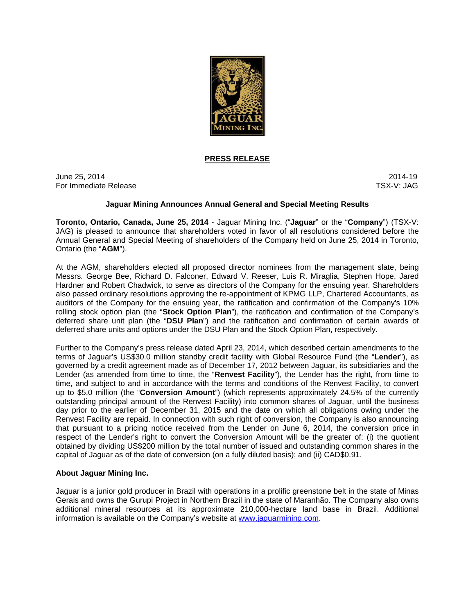

## **PRESS RELEASE**

June 25, 2014 2014-19 For Immediate Release TSX-V: JAG

## **Jaguar Mining Announces Annual General and Special Meeting Results**

**Toronto, Ontario, Canada, June 25, 2014** - Jaguar Mining Inc. ("**Jaguar**" or the "**Company**") (TSX-V: JAG) is pleased to announce that shareholders voted in favor of all resolutions considered before the Annual General and Special Meeting of shareholders of the Company held on June 25, 2014 in Toronto, Ontario (the "**AGM**").

At the AGM, shareholders elected all proposed director nominees from the management slate, being Messrs. George Bee, Richard D. Falconer, Edward V. Reeser, Luis R. Miraglia, Stephen Hope, Jared Hardner and Robert Chadwick, to serve as directors of the Company for the ensuing year. Shareholders also passed ordinary resolutions approving the re-appointment of KPMG LLP, Chartered Accountants, as auditors of the Company for the ensuing year, the ratification and confirmation of the Company's 10% rolling stock option plan (the "**Stock Option Plan**"), the ratification and confirmation of the Company's deferred share unit plan (the "**DSU Plan**") and the ratification and confirmation of certain awards of deferred share units and options under the DSU Plan and the Stock Option Plan, respectively.

Further to the Company's press release dated April 23, 2014, which described certain amendments to the terms of Jaguar's US\$30.0 million standby credit facility with Global Resource Fund (the "**Lender**"), as governed by a credit agreement made as of December 17, 2012 between Jaguar, its subsidiaries and the Lender (as amended from time to time, the "**Renvest Facility**"), the Lender has the right, from time to time, and subject to and in accordance with the terms and conditions of the Renvest Facility, to convert up to \$5.0 million (the "**Conversion Amount**") (which represents approximately 24.5% of the currently outstanding principal amount of the Renvest Facility) into common shares of Jaguar, until the business day prior to the earlier of December 31, 2015 and the date on which all obligations owing under the Renvest Facility are repaid. In connection with such right of conversion, the Company is also announcing that pursuant to a pricing notice received from the Lender on June 6, 2014, the conversion price in respect of the Lender's right to convert the Conversion Amount will be the greater of: (i) the quotient obtained by dividing US\$200 million by the total number of issued and outstanding common shares in the capital of Jaguar as of the date of conversion (on a fully diluted basis); and (ii) CAD\$0.91.

## **About Jaguar Mining Inc.**

Jaguar is a junior gold producer in Brazil with operations in a prolific greenstone belt in the state of Minas Gerais and owns the Gurupi Project in Northern Brazil in the state of Maranhão. The Company also owns additional mineral resources at its approximate 210,000-hectare land base in Brazil. Additional information is available on the Company's website at www.jaguarmining.com.